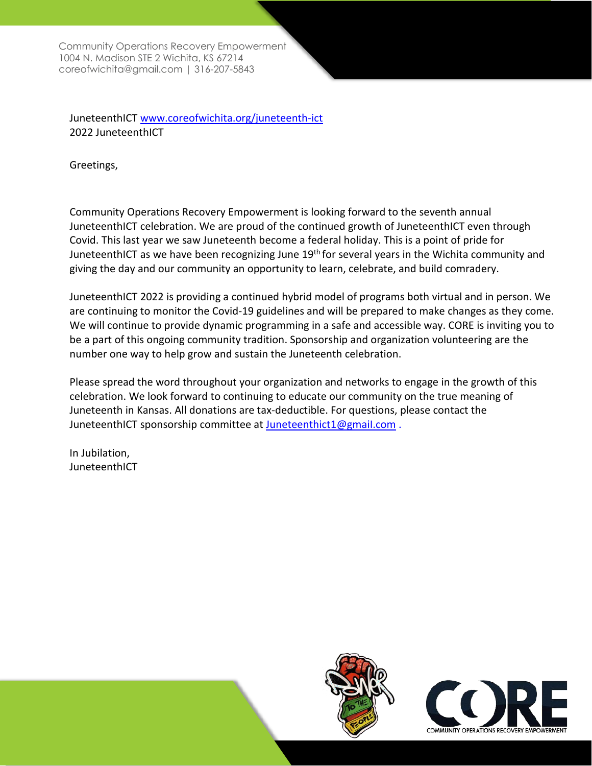Community Operations Recovery Empowerment 1004 N. Madison STE 2 Wichita, KS 67214 [coreofwichita@gmail.com |](mailto:coreofwichita@gmail.com) 316-207-5843

JuneteenthICT [www.coreofwichita.org/juneteenth-ict](http://www.coreofwichita.org/juneteenth-ict) 2022 JuneteenthICT

Greetings,

Community Operations Recovery Empowerment is looking forward to the seventh annual JuneteenthICT celebration. We are proud of the continued growth of JuneteenthICT even through Covid. This last year we saw Juneteenth become a federal holiday. This is a point of pride for JuneteenthICT as we have been recognizing June 19<sup>th</sup> for several years in the Wichita community and giving the day and our community an opportunity to learn, celebrate, and build comradery.

JuneteenthICT 2022 is providing a continued hybrid model of programs both virtual and in person. We are continuing to monitor the Covid-19 guidelines and will be prepared to make changes as they come. We will continue to provide dynamic programming in a safe and accessible way. CORE is inviting you to be a part of this ongoing community tradition. Sponsorship and organization volunteering are the number one way to help grow and sustain the Juneteenth celebration.

Please spread the word throughout your organization and networks to engage in the growth of this celebration. We look forward to continuing to educate our community on the true meaning of Juneteenth in Kansas. All donations are tax-deductible. For questions, please contact the JuneteenthICT sponsorship committee at Juneteenthict1@gmail.com.

In Jubilation, **JuneteenthICT** 



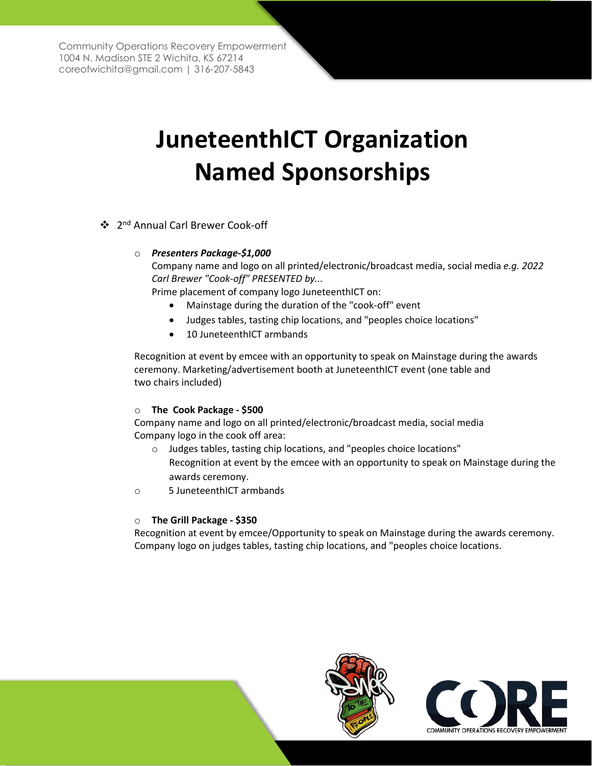Community Operations Recovery Empowerment 1004 N. Madison STE 2 Wichita, KS 67214 [coreofwichita@gmail.com |](mailto:coreofwichita@gmail.com) 316-207-5843

# **JuneteenthICT Organization Named Sponsorships**

❖ 2<sup>nd</sup> Annual Carl Brewer Cook-off

### o *Presenters Package-\$1,000*

Company name and logo on all printed/electronic/broadcast media, social media *e.g. 2022 Carl Brewer "Cook-off" PRESENTED by...*

Prime placement of company logo JuneteenthICT on:

- Mainstage during the duration of the "cook-off" event
- Judges tables, tasting chip locations, and "peoples choice locations"
- 10 JuneteenthICT armbands

Recognition at event by emcee with an opportunity to speak on Mainstage during the awards ceremony. Marketing/advertisement booth at JuneteenthICT event (one table and two chairs included)

### o **The Cook Package - \$500**

Company name and logo on all printed/electronic/broadcast media, social media Company logo in the cook off area:

- o Judges tables, tasting chip locations, and "peoples choice locations" Recognition at event by the emcee with an opportunity to speak on Mainstage during the awards ceremony.
- o 5 JuneteenthICT armbands

### o **The Grill Package - \$350**

Recognition at event by emcee/Opportunity to speak on Mainstage during the awards ceremony. Company logo on judges tables, tasting chip locations, and "peoples choice locations.